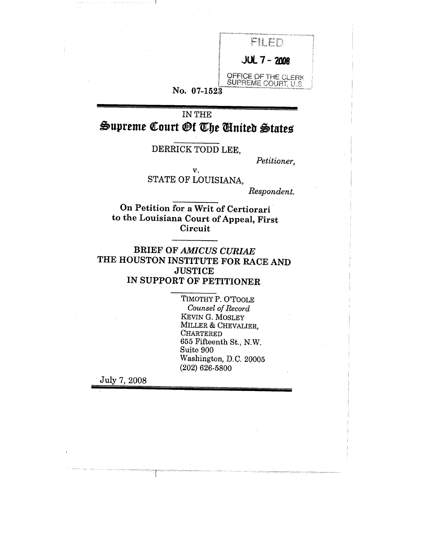

### No. **07-1523**

IN THE  $\mathfrak{Supreme}$  Court  $\mathfrak{Gf}$  The United States

## DERRICK TODD LEE,

*Petitioner,*

v. STATE OF LOUISIANA,

*Respondent.*

**On Petition for a Writ of Certiorari to the Louisiana Court of Appeal, First Circuit**

BRIEF OF *AMICUS CURIAE* THE HOUSTON INSTITUTE FOR RACE AND **JUSTICE** IN SUPPORT OF PETITIONER

> TIMOTHY P. O'TOOLE *Counsel of Record* KEVIN G. MOSLEY MILLER & CHEVALIER, CHARTERED 655 Fifteenth St., N.W. Suite 900 Washington, D.C. 20005 (202) 626-5800

July 7, 2008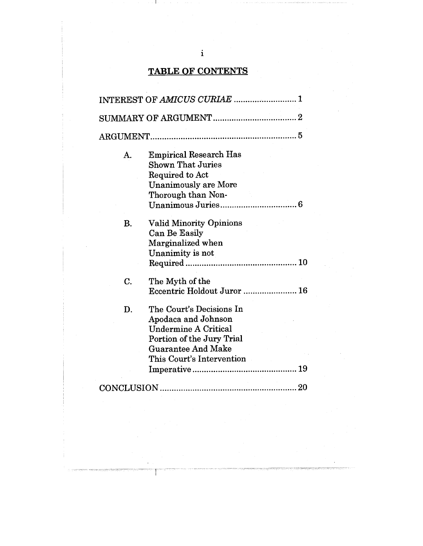# TABLE OF CONTENTS

|           | INTEREST OF AMICUS CURIAE  1                                                                                                                                          |
|-----------|-----------------------------------------------------------------------------------------------------------------------------------------------------------------------|
|           |                                                                                                                                                                       |
|           |                                                                                                                                                                       |
| A.        | <b>Empirical Research Has</b><br><b>Shown That Juries</b><br>Required to Act<br><b>Unanimously are More</b><br>Thorough than Non-                                     |
| <b>B.</b> | <b>Valid Minority Opinions</b><br><b>Can Be Easily</b><br>Marginalized when<br>Unanimity is not                                                                       |
| C.        | The Myth of the<br>Eccentric Holdout Juror  16                                                                                                                        |
| D.        | The Court's Decisions In<br>Apodaca and Johnson<br><b>Undermine A Critical</b><br>Portion of the Jury Trial<br><b>Guarantee And Make</b><br>This Court's Intervention |
|           | 20                                                                                                                                                                    |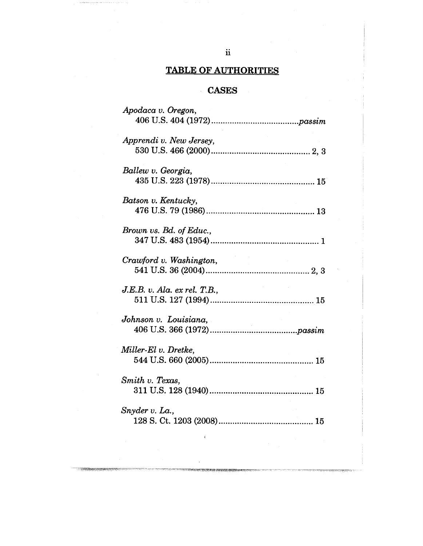## TABLE OF AUTHORITIES

## **CASES**

| Apodaca v. Oregon,           |
|------------------------------|
|                              |
| Apprendi v. New Jersey,      |
|                              |
|                              |
| Ballew v. Georgia,           |
|                              |
| Batson v. Kentucky.          |
|                              |
|                              |
| Brown vs. Bd. of Educ.,      |
|                              |
|                              |
|                              |
|                              |
| J.E.B. v. Ala. ex rel. T.B., |
|                              |
| Johnson v. Louisiana,        |
|                              |
|                              |
| Miller-El v. Dretke,         |
|                              |
| Smith v. Texas,              |
|                              |
|                              |
| Snyder v. La.,               |
|                              |
|                              |

**SAN REAL PROPERTY AND A**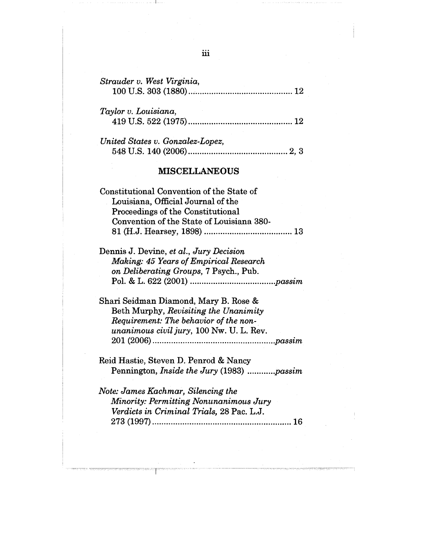| Strauder v. West Virginia, |  |
|----------------------------|--|
| Taylor v. Louisiana,       |  |

| United States v. Gonzalez-Lopez, |  |
|----------------------------------|--|
|                                  |  |

419 U.S. 522 (1975) .............................................12

#### MISCELLANEOUS

| Constitutional Convention of the State of |  |
|-------------------------------------------|--|
| Louisiana, Official Journal of the        |  |
| Proceedings of the Constitutional         |  |
| Convention of the State of Louisiana 380- |  |
|                                           |  |

Dennis J. Devine, *et al., Jury Decision Making: 45 Years of Empirical Research on Deliberating Groups,* 7 Psych., Pub. Pol. & L. 622 (2001) ....................................*.passim*

Shari Seidman Diamond, Mary B. Rose & Beth Murphy, *Revisiting the Unanimity Requirement: The behavior of the nonunanimous civil jury,* 100 Nw. U. L. Rev. 201 (2006) .................................................... *.passim*

Reid Hastie, Steven D. Penrod & Nancy Pennington, *Inside the Jury* (1983) ........... *.passim*

*Note: James Kachmar, Silencing the Minority: Permitting Nonunanimous Jury Verdicts in Criminal Trials,* 28 Pac. L.J. 273 (1997) ............................................................16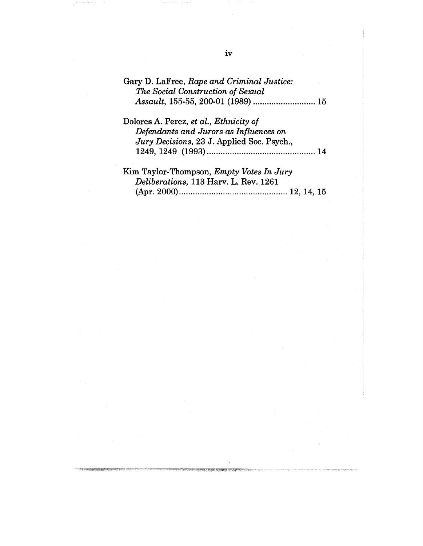| Gary D. LaFree, Rape and Criminal Justice:<br>The Social Construction of Sexual |
|---------------------------------------------------------------------------------|
|                                                                                 |
| Dolores A. Perez, et al., <i>Ethnicity of</i>                                   |
| Defendants and Jurors as Influences on                                          |
| Jury Decisions, 23 J. Applied Soc. Psych.,                                      |
|                                                                                 |
| Kim Taylor-Thompson, Empty Votes In Jury<br><b>P. 111 .1. 440 TT T. T. T.</b>   |

| $\frac{1}{2}$ $\frac{1}{2}$ $\frac{1}{2}$ $\frac{1}{2}$ $\frac{1}{2}$ $\frac{1}{2}$ $\frac{1}{2}$ $\frac{1}{2}$ $\frac{1}{2}$ $\frac{1}{2}$ $\frac{1}{2}$ $\frac{1}{2}$ $\frac{1}{2}$ $\frac{1}{2}$ $\frac{1}{2}$ $\frac{1}{2}$ $\frac{1}{2}$ $\frac{1}{2}$ $\frac{1}{2}$ $\frac{1}{2}$ $\frac{1}{2}$ $\frac{1}{2}$ |  |
|---------------------------------------------------------------------------------------------------------------------------------------------------------------------------------------------------------------------------------------------------------------------------------------------------------------------|--|
| Deliberations, 113 Harv. L. Rev. 1261                                                                                                                                                                                                                                                                               |  |
|                                                                                                                                                                                                                                                                                                                     |  |

 $\omega$  ) and an analysis of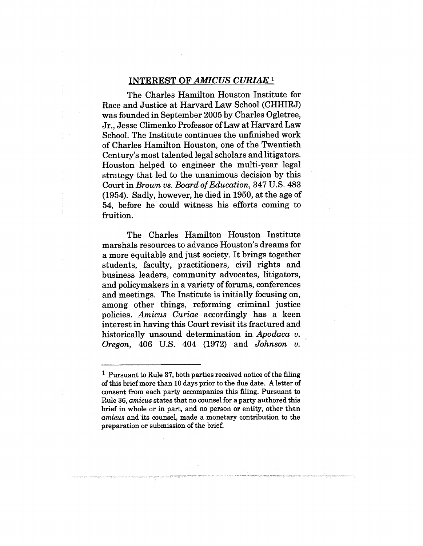#### INTEREST OF *AMICUS CURIAE 1*

The Charles Hamilton Houston Institute for Race and Justice at Harvard Law School (CHHIRJ) was founded in September 2005 by Charles Ogletree, Jr., Jesse Climenko Professor of Law at Harvard Law School. The Institute continues the unfinished work of Charles Hamilton Houston, one of the Twentieth Century's most talented legal scholars and litigators. Houston helped to engineer the multi-year legal strategy that led to the unanimous decision by this Court in *Brown vs. Board of Education,* 347 U.S. 483 (1954). Sadly, however, he died in 1950, at the age of 54, before he could witness his efforts coming to fruition.

The Charles Hamilton Houston Institute marshals resources to advance Houston's dreams for a more equitable and just society. It brings together students, faculty, practitioners, civil rights and business leaders, community advocates, litigators, and policymakers in a variety of forums, conferences and meetings. The Institute is initially focusing on, among other things, reforming criminal justice policies. *Arnicus Curiae* accordingly has a keen interest in having this Court revisit its fractured and historically unsound determination in *Apodaca v. Oregon,* 406 U.S. 404 (1972) and *Johnson v.*

<sup>1</sup> Pursuant to Rule 37, both parties received notice of the filing of this brief more than 10 days prior to the due date. A letter of consent from each party accompanies this filing. Pursuant to Rule 36, *arnicus* states that no counsel for a party authored this brief in whole or in part, and no person or entity, other than *amicus* and its counsel, made a monetary contribution to the preparation or submission of the brief.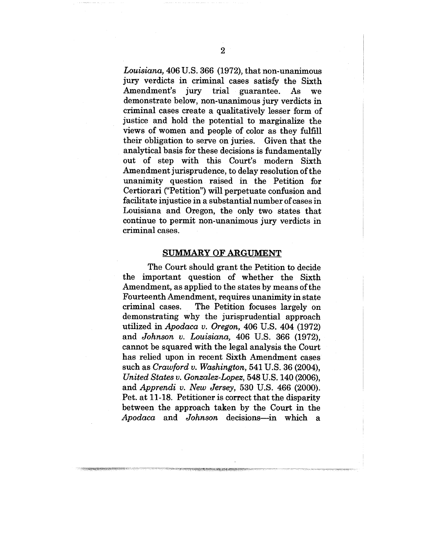*Louisiana,* 406 U.S. 366 (1972), that non-unanimous jury verdicts in criminal cases satisfy the Sixth Amendment's jury trial guarantee. As we demonstrate below, non-unanimous jury verdicts in criminal cases create a qualitatively lesser form of justice and hold the potential to marginalize the views of women and people of color as they fulfill their obligation to serve on juries. Given that the analytical basis for these decisions is fundamentally out of step with this Court's modern Sixth Amendment jurisprudence, to delay resolution of the unanimity question raised in the Petition for Certiorari ("Petition") will perpetuate confusion and facilitate injustice in a substantial number of cases in Louisiana and Oregon, the only two states that continue to permit non-unanimous jury verdicts in criminal cases.

#### **SUMMARY OF ARGUMENT**

The Court should grant the Petition to decide the important question of whether the Sixth Amendment, as applied to the states by means of the Fourteenth Amendment, requires unanimity in state criminal cases. The Petition focuses largely on demonstrating why the jurisprudential approach utilized in *Apodaca v. Oregon,* 406 U.S. 404 (1972) and *Johnson v. Louisiana,* 406 U.S. 366 (1972), cannot be squared with the legal analysis the Court has relied upon in recent Sixth Amendment cases such as *Crawford v. Washington,* 541 U.S. 36 (2004), *United States v. Gonzalez-Lopez,* 548 U.S. 140 (2006), and *Apprendi v. New Jersey*, 530 U.S. 466 (2000). Pet. at 11-18. Petitioner is correct that the disparity between the approach taken by the Court in the *Apodaca* and *Johnson* decisions---in which a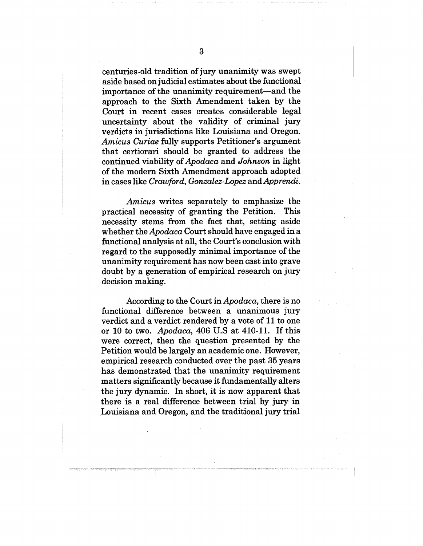centuries-old tradition of jury unanimity was swept aside based on judicial estimates about the functional importance of the unanimity requirement--and the approach to the Sixth Amendment taken by the Court in recent cases creates considerable legal uncertainty about the validity of criminal jury verdicts in jurisdictions like Louisiana and Oregon. *Amicus Curiae* fully supports Petitioner's argument that certiorari should be granted to address the continued viability *of Apodaca* and *Johnson* in light of the modern Sixth Amendment approach adopted in cases like *Crawford, Gonzalez-Lopez* and *Apprendi.*

*Amicus* writes separately to emphasize the practical necessity of granting the Petition. This necessity stems from the fact that, setting aside whether the *Apodaca* Court should have engaged in a functional analysis at all, the Court's conclusion with regard to the supposedly minimal importance of the unanimity requirement has now been cast into grave doubt by a generation of empirical research on jury decision making.

According to the Court in *Apodaca,* there is no functional difference between a unanimous jury verdict and a verdict rendered by a vote of 11 to one or 10 to two. *Apodaca,* 406 U.S at 410-11. If this were correct, then the question presented by the Petition would be largely an academic one. However, empirical research conducted over the past 35 years has demonstrated that the unanimity requirement matters significantly because it fundamentally alters the jury dynamic. In short, it is now apparent that there is a real difference between trial by jury in Louisiana and Oregon, and the traditional jury trial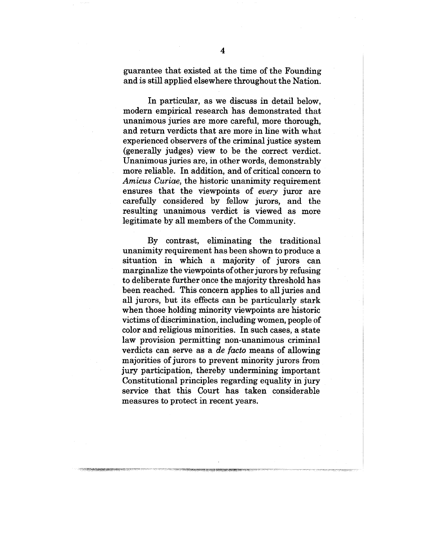guarantee that existed at the time of the Founding and is still applied elsewhere throughout the Nation.

In particular, as we discuss in detail below, modern empirical research has demonstrated that unanimous juries are more careful, more thorough, and return verdicts that are more in line with what experienced observers of the criminal justice system (generally judges) view to be the correct verdict. Unanimous juries are, in other words, demonstrably more reliable. In addition, and of critical concern to *Arnicus Curiae,* the historic unanimity requirement ensures that the viewpoints of *every* juror are carefully considered by fellow jurors, and the resulting unanimous verdict is viewed as more legitimate by all members of the Community.

By contrast, eliminating the traditional unanimity requirement has been shown to produce a situation in which a majority of jurors can marginalize the viewpoints of other jurors by refusing to deliberate further once the majority threshold has been reached. This concern applies to all juries and all jurors, but its effects can be particularly stark when those holding minority viewpoints are historic victims of discrimination, including women, people of color and religious minorities. In such cases, a state law provision permitting non-unanimous criminal verdicts can serve as a *de facto* means of allowing majorities of jurors to prevent minority jurors from jury participation, thereby undermining important Constitutional principles regarding equality in jury service that this Court has taken considerable measures to protect in recent years.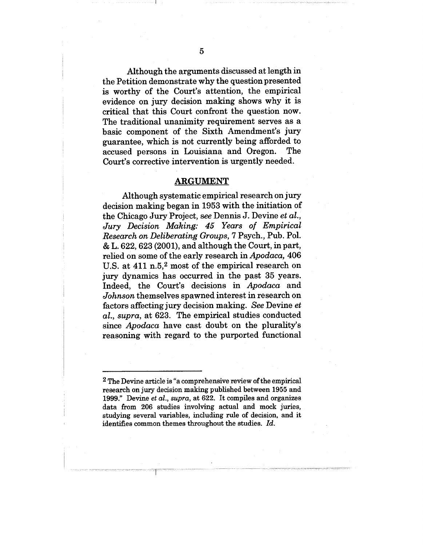Although the arguments discussed at length in the Petition demonstrate why the question presented is worthy of the Court's attention, the empirical evidence on jury decision making shows why it is critical that this Court confront the question now. The traditional unanimity requirement serves as a basic component of the Sixth Amendment's jury guarantee, which is not currently being afforded to accused persons in Louisiana and Oregon. The Court's corrective intervention is urgently needed.

#### **ARGUMENT**

Although systematic empirical research on jury decision making began in 1953 with the initiation of the Chicago Jury Project, see Dennis J. Devine *et al., Jury Decision Making: 45 Years of Empirical Research on Deliberating Groups,* 7 Psych., Pub. Pol. & L. 622, 623 (2001), and although the Court, in part, relied on some of the early research in *Apodaca,* 406 U.S. at 411 n.5,2 most of the empirical research on jury dynamics has occurred in the past 35 years. Indeed, the Court's decisions in *Apodaca* and *Johnson* themselves spawned interest in research on factors affecting jury decision making. *See* Devine *et al., supra,* at 623. The empirical studies conducted since *Apodaca* have cast doubt on the plurality's reasoning with regard to the purported functional

2 The Devine article is "a comprehensive review of the empirical research on jury decision making published between 1955 and 1999." Devine *et al., supra,* at 622. It compiles and organizes data from 206 studies involving actual and mock juries, studying several variables, including rule of decision, and it identifies common themes throughout the studies. *Id.*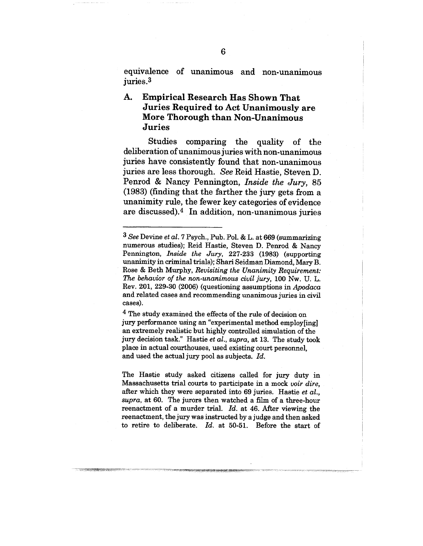equivalence of unanimous and non-unanimous juries.3

#### A. **Empirical Research Has Shown That Juries Required to Act Unanimously are More Thorough than Non-Unanimous Juries**

Studies comparing the quality of the dehberation of unanimous juries with non-unanimous juries have consistently found that non-unanimous juries are less thorough. *See* Reid Hastie, Steven D. Penrod & Nancy Pennington, *Inside the Jury*, 85 (1983) (finding that the farther the jury gets from a unanimity rule, the fewer key categories of evidence are discussed).4 In addition, non-unanimous juries

4 The study examined the effects of the rule of decision on jury performance using an "experimental method employ[ing] an extremely reahstic but highly controlled simulation of the jury decision task." Hastie *et al., supra,* at 13. The study took place in actual courthouses, used existing court personnel, and used the actual jury pool as subjects. *Id.*

The Hastie study asked citizens called for jury duty in Massachusetts trial courts to participate in a mock *voir dire,* after which they were separated into 69 juries. Hastie *et al., supra,* at 60. The jurors then watched a film of a three-hour reenactment of a murder trial. *Id.* at 46. After viewing the reenactment, the jury was instructed by a judge and then asked to retire to deliberate. *Id.* at 50-51. Before the start of

*<sup>3</sup> See* Devine *et al.* 7 Psych., Pub. Pol. & L. at 669 (summarizing numerous studies); Reid Hastie, Steven D. Penrod & Nancy Pennington, *Inside the Jury,* 227-233 (1983) (supporting unanimity in criminal trials); Shari Seidman Diamond, Mary B. Rose & Beth Murphy, *Revisiting the Unanimity Requirement: The behavior of the non-unanimous civil jury,* 100 Nw. U. L. Rev. 201, 229-30 (2006) (questioning assumptions in *Apodaca* and related cases and recommending unanimous juries in civil cases).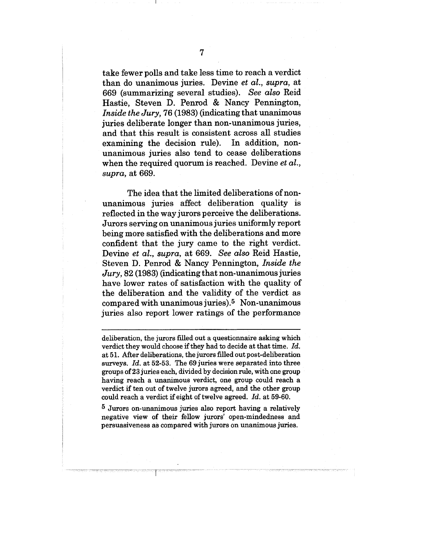take fewer polls and take less time to reach a verdict than do unanimous juries. Devine *et al., supra,* at 669 (summarizing several studies). *See also* Reid Hastie, Steven D. Penrod & Nancy Pennington, *Inside the Jury,* 76 (1983) (indicating that unanimous juries deliberate longer than non-unanimous juries, and that this result is consistent across all studies examining the decision rule). In addition, nonunanimous juries also tend to cease deliberations when the required quorum is reached. Devine *et al., supra,* at 669.

The idea that the limited deliberations of nonunanimous juries affect deliberation quality is reflected in the way jurors perceive the deliberations. Jurors serving on unanimous juries uniformly report being more satisfied with the deliberations and more confident that the jury came to the right verdict. Devine *et al., supra,* at 669. *See also* Reid Hastie, Steven D. Penrod & Nancy Pennington, *Inside the Jury,* 82 (1983) (indicating that non-unanimous juries have lower rates of satisfaction with the quality of the deliberation and the validity of the verdict as compared with unanimous juries).5 Non-unanimous juries also report lower ratings of the performance

deliberation, the jurors filled out a questionnaire asking which verdict they would choose if they had to decide at that time. *Id.* at 51. After deliberations, the jurors filled out post-deliberation surveys. *Id.* at 52-53. The 69 juries were separated into three groups of 23 juries each, divided by decision rule, with one group having reach a unanimous verdict, one group could reach a verdict if ten out of twelve jurors agreed, and the other group could reach a verdict if eight of twelve agreed. *Id.* at 59-60.

<sup>5</sup> Jurors on-unanimous juries also report having a relatively negative view of their fellow jurors' open-mindedness and persuasiveness as compared with jurors on unanimous juries.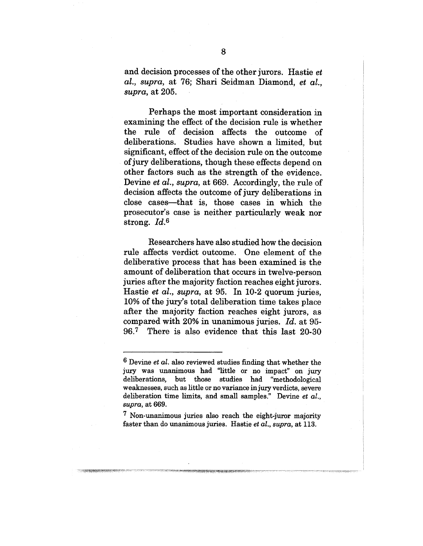and decision processes of the other jurors. Hastie *et al., supra,* at 76; Shari Seidman Diamond, *et aiI., supra,* at 205.

Perhaps the most important consideration in examining the effect of the decision rule is whether the rule of decision affects the outcome of deliberations. Studies have shown a limited, but significant, effect of the decision rule on the outcome of jury deliberations, though these effects depend on other factors such as the strength of the evidence. Devine *et al., supra,* at 669. Accordingly, the rule of decision affects the outcome of jury deliberations in close cases--that is, those cases in which the prosecutor's case is neither particularly weak nor strong. *Id.6*

Researchers have also studied how the decision rule affects verdict outcome. One element of the deliberative process that has been examined is the amount of deliberation that occurs in twelve-person juries after the majority faction reaches eight jurors. Hastie *et al., supra,* at 95. In 10-2 quorum juries, 10% of the jury's total deliberation time takes place after the majority faction reaches eight jurors, as compared with 20% in unanimous juries. *Id.* at 95- 96.7 There is also evidence that this last 20-30

erai Kildikitar tenteng dian tahun 19

<sup>6</sup> Devine *et al.* also reviewed studies finding that whether the jury was unanimous had "little or no impact" on jury deliberations, but those studies had "methodological weaknesses, such as little or no variance injury verdicts, severe deliberation time limits, and small samples." Devine *et aL, supra,* at 669.

<sup>7</sup> Non-unanimous juries also reach the eight-juror majority faster than do unanimous juries. Hastie *et al., supra,* at 113..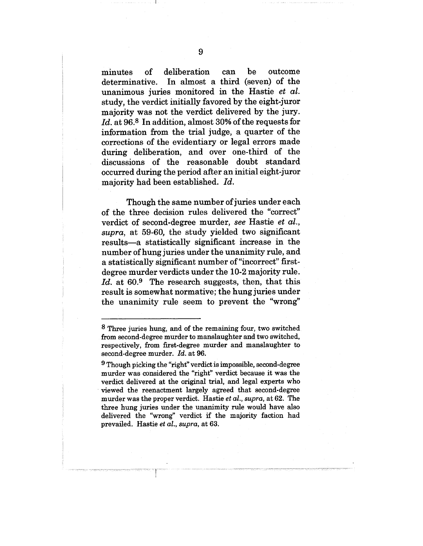minutes of deliberation can be outcome<br>determinative. In almost a third (seven) of the In almost a third (seven) of the unanimous juries monitored in the Hastie *et al.* study, the verdict initially favored by the eight-juror majority was not the verdict delivered by the jury. *Id.* at 96.8 In addition, almost 30% of the requests for information from the trial judge, a quarter of the corrections of the evidentiary or legal errors made during deliberation, and over one-third of the discussions of the reasonable doubt standard occurred during the period after an initial eight-juror majority had been established. *Id.*

Though the same number of juries under each of the three decision rules delivered the "correct" verdict of second-degree murder, *see* Hastie *et al., supra,* at 59-60, the study yielded two significant results--a statistically significant increase in the number of hung juries under the unanimity rule, and a statistically significant number of"incorrect" firstdegree murder verdicts under the 10-2 majority rule. Id. at 60.<sup>9</sup> The research suggests, then, that this result is somewhat normative; the hung juries under the unanimity rule seem to prevent the "wrong~'

<sup>8</sup> Three juries hung, and of the remaining four, two switched from second-degree murder to manslaughter and two switched, respectively, from first-degree murder and manslaughter to second-degree murder. *Id.* at 96.

<sup>9</sup> Though picking the "right" verdict is impossible, second-degree murder was considered the "right" verdict because it was the verdict delivered at the original trial, and legal experts who viewed the reenactment largely agreed that second-degree murder was the proper verdict. Hastie *et al., supra,* at 62. The three hung juries under the unanimity rule would have also delivered the "wrong" verdict if the majority faction had prevailed. Hastie *et al., supra,* at 63.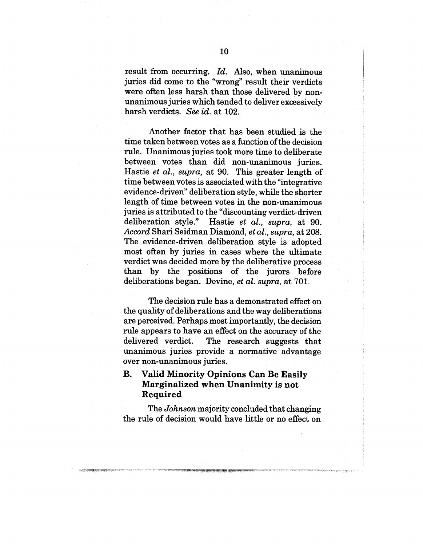result from occurring. *Id.* Also, when unanimous juries did come to the "wrong" result their verdicts were often less harsh than those delivered by nonunanimous juries which tended to deliver excessively harsh verdicts. *See id.* at 102.

Another factor that has been studied is the time taken between votes as a function of the decision rule. Unanimous juries took more time to deliberate between votes than did non-unanimous juries. Hastie *et al., supra,* at 90. This greater length of time between votes is associated with the "integrative evidence-driven" deliberation style, while the shorter length of time between votes in the non-unanimous juries is attributed to the "discounting verdict-driven deliberation style." Hastie *et al., supra,* at 90. *Accord* Shari Seidman Diamond, *et al., supra,* at 208. The evidence-driven deliberation style is adopted most often by juries in cases where the ultimate verdict was decided more by the deliberative process than by the positions of the jurors before deliberations began. Devine, *et al. supra,* at 701.

The decision rule has a demonstrated effect on the quality of deliberations and the way deliberations are perceived. Perhaps most importantly, the decision rule appears to have an effect on the accuracy of the delivered verdict. The research suggests that unanimous juries provide a normative advantage over non-unanimous juries.

## **B. Valid Minority Opinions Can Be Easily** Marginalized when Unanimity is not **Required**

The *Johnson* majority concluded that changing the rule of decision would have little or no effect on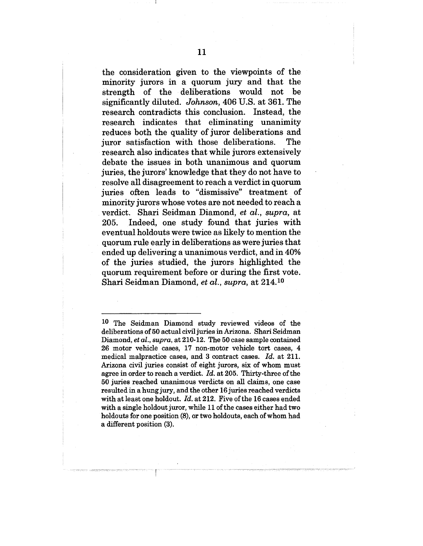the consideration given to the viewpoints of the minority jurors in a quorum jury and that the strength of the deliberations would not be significantly diluted. *Johnson,* 406 U.S. at 361. The research contradicts this conclusion. Instead, the research indicates that eliminating unanimity reduces both the quality of juror deliberations and juror satisfaction with those deliberations. The research also indicates that while jurors extensively debate the issues in both unanimous and quorum juries, the jurors' knowledge that they do not have to resolve all disagreement to reach a verdict in quorum juries often leads to "dismissive" treatment of minority jurors whose votes are not needed to reach a verdict. Shari Seidman Diamond, *et al., supra,* at 205. Indeed, one study found that juries with eventual holdouts were twice as likely to mention the quorum rule early in deliberations as were juries that ended up delivering a unanimous verdict, and in 40% of the juries studied, the jurors highlighted the quorum requirement before or during the first vote. Shari Seidman Diamond, *et al., supra,* at 214.1°

10 The Seidman Diamond study reviewed videos of the deliberations of 50 actual civil juries in Arizona. Shari Seidman Diamond, *et al., supra,* at 210-12. The 50 case sample contained 26 motor vehicle cases, 17 non-motor vehicle tort cases, 4 medical malpractice cases, and 3 contract cases. *Id.* at 211. Arizona civil juries consist of eight jurors, six of whom must agree in order to reach a verdict. *Id.* at 205. Thirty-three of the 50 juries reached unanimous verdicts on all claims, one case resulted in a hung jury, and the other 16 juries reached verdicts with at least one holdout. *Id.* at 212. Five of the 16 cases ended with a single holdout juror, while 11 of the cases either had two holdouts for one position (8), or two holdouts, each of whom had a different position (3).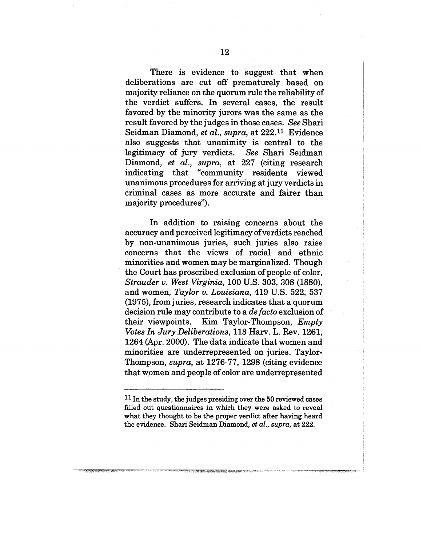There is evidence to suggest that when deliberations are cut off prematurely based on majority reliance on the quorum rule the reliability of the verdict suffers. In several cases, the result favored by the minority jurors was the same as the result favored by the judges in those cases. *See* Shari Seidman Diamond, *et al., supra,* at 222.11 Evidence also suggests that unanimity is central to the legitimacy of jury verdicts. *See* Shari Seidman Diamond, *et al., supra,* at 227 (citing research indicating that "community residents viewed unanimous procedures for arriving at jury verdicts in criminal cases as more accurate and fairer than majority procedures").

In addition to raising concerns about the accuracy and perceived legitimacy of verdicts reached by non-unanimous juries, such juries also raise concerns that the views of racial and ethnic minorities and women may be marginalized. Though the Court has proscribed exclusion of people of color, *Strauder v. West Virginia,* 100 U.S. 303, 308 (1880), and women, *Taylor v. Louisiana,* 419 U.S. 522, 537 (1975), from juries, research indicates that a quorum decision rule may contribute to a *de facto* exclusion of their viewpoints. Kim Taylor-Thompson, *Empty Votes In Jury Deliberations,* 113 Harv. L. Rev. 1261, 1264 (Apr. 2000). The data indicate that women and minorities are underrepresented on juries. Taylor-Thompson, *supra,* at 1276-77, 1298 (citing evidence that women and people of color are underrepresented

<sup>11</sup> In the study, the judges presiding over the 50 reviewed cases filled out questionnaires in which they were asked to reveal what they thought to be the proper verdict after having heard the evidence. Shari Seidman Diamond, *et al., supra,* at 222.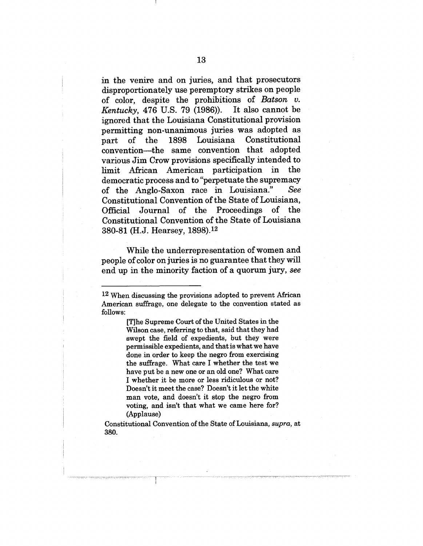in the venire and on juries, and that prosecutors disproportionately use peremptory strikes on people of color, despite the prohibitions of *Batson v. Kentucky,* 476 U.S. 79 (1986)). It also cannot be ignored that the Louisiana Constitutional provision permitting non-unanimous juries was adopted as<br>part of the 1898 Louisiana Constitutional part of the 1898 convention--the same convention that adopted various Jim Crow provisions specifically intended to limit African American participation in the democratic process and to "perpetuate the supremacy of the Anglo-Saxon race in Louisiana." See Constitutional Convention of the State of Louisiana, Official Journal of the Proceedings of the Constitutional Convention of the State of Louisiana 380-81 (H.J. Hearsey, 1898).12

While the underrepresentation of women and people of color on juries is no guarantee that they will end up in the minority faction of a quorum jury, *see*

Constitutional Convention of the State of Louisiana, *supra,* at 380.

<sup>12</sup> When discussing the provisions adopted to prevent African American suffrage, one delegate to the convention stated as follows:

<sup>[</sup>T]he Supreme Court of the United States in the Wilson case, referring to that, said that they had swept the field of expedients, but they were permissible expedients, and that is what we have done in order to keep the negro from exercising the suffrage. What care I whether the test we have put be a new one or an old one? What care I whether it be more or less ridiculous or not? Doesn't it meet the case? Doesn't it let the white man vote, and doesn't it stop the negro from voting, and isn't that what we came here for? (Applause)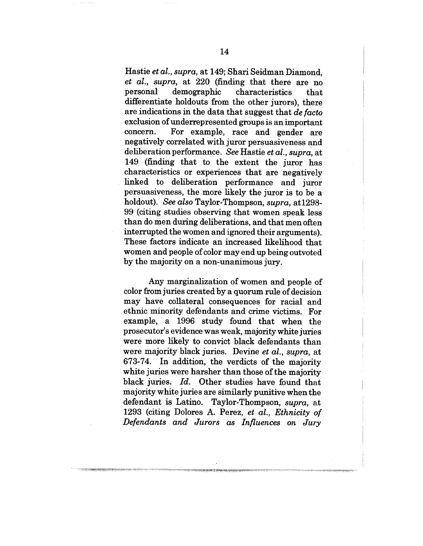Hastie *et al., supra,* at 149; Shari Seidman Diamond, *et al., supra,* at 220 (finding that there are no personal demographic characteristics that differentiate holdouts from the other jurors), there are indications in the data that suggest that *de facto* exclusion of underrepresented groups is an important concern. For example, race and gender are negatively correlated with juror persuasiveness and deliberation performance. *See* Hastie *et al., supra, at* 149 (finding that to the extent the juror has characteristics or experiences that are negatively linked to deliberation performance and juror persuasiveness, the more likely the juror is to be a holdout). *See also* Taylor-Thompson, *supra,* at1298- 99 (citing studies observing that women speak less than do men during deliberations, and that men often interrupted the women and ignored their arguments). These factors indicate an increased likelihood that women and people of color may end up being outvoted by the majority on a non-unanimous jury.

Any marginalization of women and people of color from juries created by a quorum rule of decision may have collateral consequences for racial and ethnic minority defendants and crime victims. For example, a 1996 study found that when the prosecutor's evidence was weak, majority white juries were more likely to convict black defendants than were majority black juries. Devine *et al., supra,* at 673-74. In addition, the verdicts of the majority white juries were harsher than those of the majority black juries. *Id.* Other studies have found that majority white juries are similarly punitive when the defendant is Latino. Taylor-Thompson, *supra, at* 1293 (citing Dolores A. Perez, *et al., Ethnicity of Defendants and Jurors as Influences on Jury*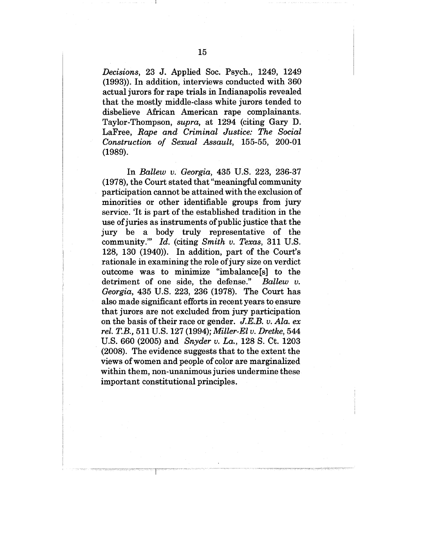*Decisions,* 23 J. Applied Soc. Psych., 1249, 1249 (1993)). In addition, interviews conducted with 360 actual jurors for rape trials in Indianapolis revealed that the mostly middle-class white jurors tended to disbelieve African American rape complainants. Taylor-Thompson, *supra,* at 1294 (citing Gary D. LaFree, *Rape and Criminal Justice: The Social Construction of Sexual Assault,* 155-55, 200-01 (1989).

In *Ballew v. Georgia,* 435 U.S. 223, 236-37 (1978), the Court stated that "meaningful community participation cannot be attained with the exclusion of minorities or other identifiable groups from jury service. 'It is part of the established tradition in the use of juries as instruments of public justice that the jury be a body truly representative of the community.'" *Id.* (citing *Smith v. Texas,* 311 U.S. 128, 130 (1940)). In addition, part of the Court's rationale in examining the role of jury size on verdict outcome was to minimize "imbalance[s] to the detriment of one side, the defense." Ballew  $v$ . detriment of one side, the defense." *Georgia,* 435 U.S. 223, 236 (1978). The Court has also made significant efforts in recent years to ensure that jurors are not excluded from jury participation on the basis of their race or gender. *J.E.B.v. Ala. ex rel. T.B.,* 511 U.S. 127 (1994); *Miller-El v. Dretke,* 544 U.S. 660 (2005) and *Snyder v. La.,* 128 S. Ct. 1203 (2008). The evidence suggests that to the extent the views of women and people of color are marginalized within them, non-unanimous juries undermine these important constitutional principles.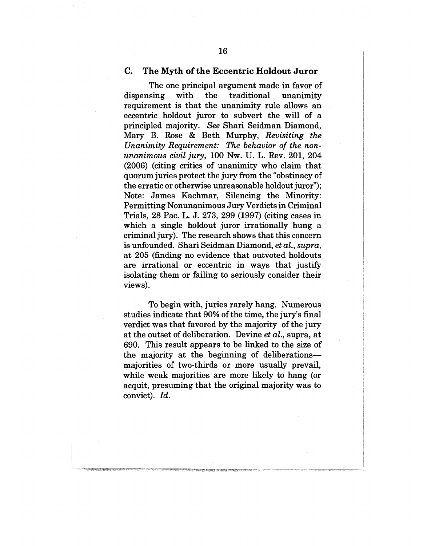#### **C. The Myth of the Eccentric Holdout Juror**

The one principal argument made in favor of dispensing with the traditional unanimity requirement is that the unanimity rule allows an eccentric holdout juror to subvert the will of a principled majority. *See* Shari Seidman Diamond, Mary B. Rose & Beth Murphy, *Revisiting the Unanimity Requirement: The behavior of the nonunanimous civil jury,* 100 Nw. U. L. Rev. 201, 204 (2006) (citing critics of unanimity who claim that quorum juries protect the jury from the "obstinacy of the erratic or otherwise unreasonable holdout juror'"); Note: James Kachmar, Silencing the Minority: Permitting Nonunanimous Jury Verdicts in Criminal Trials, 28 Pac. L. J. 273, 299 (1997) (citing cases in which a single holdout juror irrationally hung a criminal jury). The research shows that this concern is unfounded. Shari Seidman Diamond, *et al., supra,* at 205 (finding no evidence that outvoted holdouts are irrational or eccentric in ways that justify isolating them or failing to seriously consider their views).

To begin with, juries rarely hang. Numerous studies indicate that 90% of the time, the jury's final verdict was that favored by the majority of the jury at the outset of deliberation. Devine *et al.,* supra, at 690. This result appears to be linked to the size of the majority at the beginning of deliberations- majorities of two-thirds or more usually prevail, while weak majorities are more likely to hang (or acquit, presuming that the original majority was to convict). *Id.*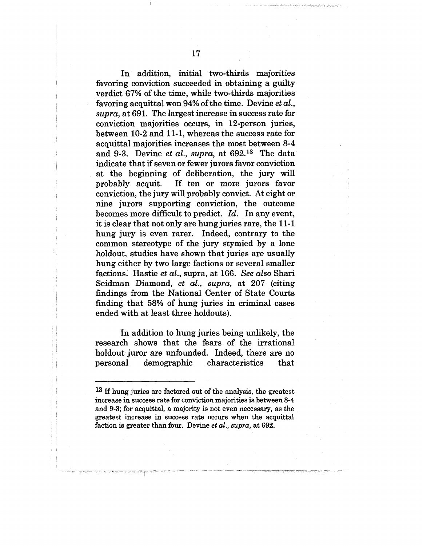In addition, initial two-thirds majorities favoring conviction succeeded in obtaining a guilty verdict 67% of the time, while two-thirds majorities favoring acquittal won 94% of the time. Devine et al., supra, at 691. The largest increase in success rate for conviction majorities occurs, in 12-person juries, between 10-2 and 11-1, whereas the success rate for acquittal majorities increases the most between 8-4 and 9-3. Devine et al., supra, at 692.13 The data indicate that if seven or fewer jurors favor conviction at the beginning of deliberation, the jury will probably acquit. If ten or more jurors favor conviction, the jury will probably convict. At eight or nine jurors supporting conviction, the outcome becomes more difficult to predict. Id. In any event, it is clear that not only are hung juries rare, the 11-1 hung jury is even rarer. Indeed, contrary to the common stereotype of the jury stymied by a lone holdout, studies have shown that juries are usually hung either by two large factions or several smaller factions: Hastie *et al.,* supra, at 166. *See also* Shari Seidman Diamond, *et al., supra,* at 207 (citing findings from the National Center of State Courts finding that 58% of hung juries in criminal cases ended with at least three holdouts).

In addition to hung juries being unlikely, the research shows that the fears of the irrational holdout juror are unfounded. Indeed, there are no personal demographic characteristics that

<sup>&</sup>lt;sup>13</sup> If hung juries are factored out of the analysis, the greatest increase in success rate for conviction majorities is between 8-4 and 9-3; for acquittal, a majority is not even necessary, as the greatest increase in success rate occurs when the acquittal faction is greater than four. Devine et *al., supra,* at 692.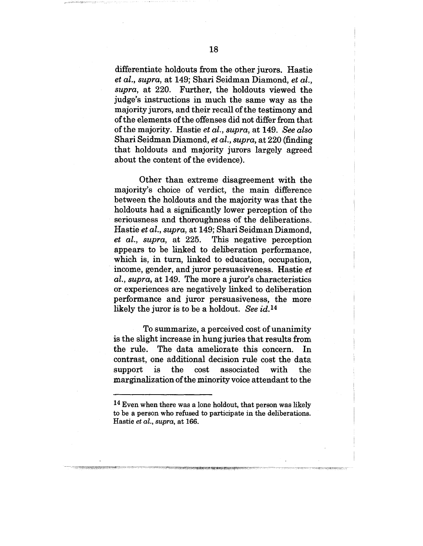differentiate holdouts from the other jurors. Hastie *et al., supra,* at 149; Shari Seidman Diamond, *et all., supra,* at 220. Further, the holdouts viewed the judge's instructions in much the same way as the majority jurors, and their recall of the testimony and of the elements of the offenses did not differ from that of the majority. Hastie *et al., supra,* at 149. *See also* Shari Seidman Diamond, *et al., supra,* at 220 (finding that holdouts and majority jurors largely agreed about the content of the evidence).

Other than extreme disagreement with the majority's choice of verdict, the main difference between the holdouts and the majority was that the holdouts had a significantly lower perception of the seriousness and thoroughness of the deliberations. Hastie *et al., supra,* at 149; Shari Seidman Diamond., *et al., supra,* at 225. This negative perception appears to be linked to deliberation performance, which is, in turn, linked to education, occupation, income, gender, and juror persuasiveness. Hastie et *al., supra,* at 149. The more a juror's characteristics or experiences are negatively linked to deliberation performance and juror persuasiveness, the more likely the juror is to be a holdout. *See id.14*

To summarize, a perceived cost of unanimity is the shght increase in hung juries that results from the rule. The data ameliorate this concern. In contrast, one additional decision rule cost the data<br>support is the cost associated with the support is the cost associated with marginahzation of the minority voice attendant to the

 $14$  Even when there was a lone holdout, that person was likely to be a person who refused to participate in the dehberations. Hastie *et al., supra,* at 166.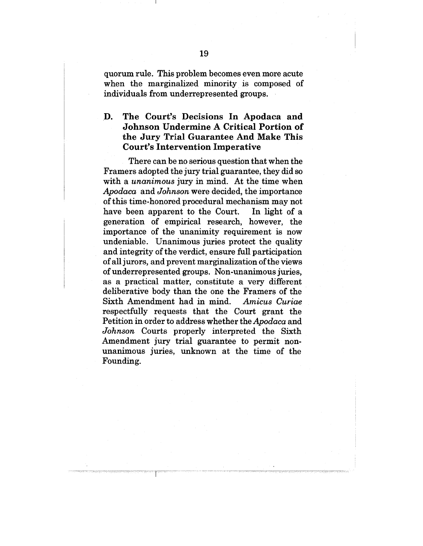quorum rule. This problem becomes even more acute when the marginalized minority is composed of individuals from underrepresented groups.

## **.D. The Court's Decisions In Apodaca and Johnson Undermine A Critical Portion of the Jury Trial Guarantee And Make This Court's Intervention Imperative**

There can be no serious question that when the Framers adopted the jury trial guarantee, they did so with a *unanimous* jury in mind. At the time when *Apodaca* and *Johnson* were decided, the importance of this time-honored procedural mechanism may not have been apparent to the Court. In light of a generation of empirical research, however, the importance of the unanimity requirement is now undeniable. Unanimous juries protect the quality and integrity of the verdict, ensure full participation of all jurors, and prevent marginalization of the views of underrepresented groups. Non-unanimous juries, as a practical matter, constitute a very different deliberative body than the one the Framers of the Sixth Amendment had in mind. *Amicus Curiae* respectfully requests that the Court grant the Petition in order to address whether the *Apodaca* and *Johnson* Courts properly interpreted the Sixth Amendment jury trial guarantee to permit nonunanimous juries, unknown at the time of the Founding.